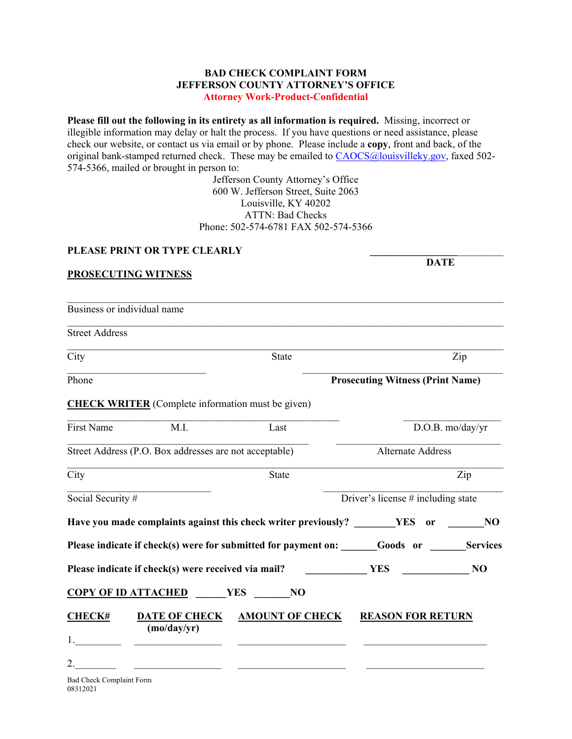## **BAD CHECK COMPLAINT FORM JEFFERSON COUNTY ATTORNEY'S OFFICE Attorney Work-Product-Confidential**

**Please fill out the following in its entirety as all information is required.** Missing, incorrect or illegible information may delay or halt the process. If you have questions or need assistance, please check our website, or contact us via email or by phone. Please include a **copy**, front and back, of the original bank-stamped returned check. These may be emailed to [CAOCS@louisvilleky.gov,](mailto:CAOCS@louisvilleky.gov) faxed 502-574-5366, mailed or brought in person to:

Jefferson County Attorney's Office 600 W. Jefferson Street, Suite 2063 Louisville, KY 40202 ATTN: Bad Checks Phone: 502-574-6781 FAX 502-574-5366

## PLEASE PRINT OR TYPE CLEARLY

|                       | <b>PROSECUTING WITNESS</b>                               |                                                                         | <b>DATE</b>                             |                  |
|-----------------------|----------------------------------------------------------|-------------------------------------------------------------------------|-----------------------------------------|------------------|
|                       |                                                          |                                                                         |                                         |                  |
|                       | Business or individual name                              |                                                                         |                                         |                  |
| <b>Street Address</b> |                                                          |                                                                         |                                         |                  |
| City                  |                                                          | <b>State</b>                                                            |                                         | Zip              |
| Phone                 |                                                          |                                                                         | <b>Prosecuting Witness (Print Name)</b> |                  |
|                       | <b>CHECK WRITER</b> (Complete information must be given) |                                                                         |                                         |                  |
| <b>First Name</b>     | M.I.                                                     | Last                                                                    |                                         | D.O.B. mo/day/yr |
|                       | Street Address (P.O. Box addresses are not acceptable)   |                                                                         | Alternate Address                       |                  |
| City                  |                                                          | <b>State</b>                                                            |                                         | Zip              |
|                       | Social Security #                                        |                                                                         | Driver's license # including state      |                  |
|                       |                                                          | Have you made complaints against this check writer previously? YES or   |                                         | N <sub>O</sub>   |
|                       |                                                          | Please indicate if check(s) were for submitted for payment on: Goods or |                                         | <b>Services</b>  |
|                       | Please indicate if check(s) were received via mail?      |                                                                         | <b>YES</b>                              | N <sub>O</sub>   |
|                       | <b>COPY OF ID ATTACHED</b><br><b>YES</b>                 | N <sub>O</sub>                                                          |                                         |                  |
| <b>CHECK#</b><br>1.   | <b>DATE OF CHECK</b><br>(mo/day/yr)                      | <b>AMOUNT OF CHECK</b>                                                  | <b>REASON FOR RETURN</b>                |                  |
|                       |                                                          |                                                                         |                                         |                  |
| 2.                    |                                                          |                                                                         |                                         |                  |

Bad Check Complaint Form 08312021